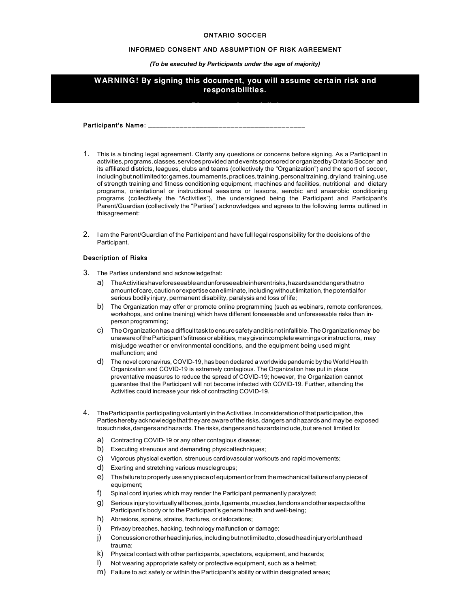## ONTARIO SOCCER

## INFORMED CONSENT AND ASSUMPTION OF RISK AGREEMENT

*(To be executed by Participants under the age of majority)*

# **WARNING! By signing this document, you will assume certain risk and responsibilities.**

Participant's Name: \_\_

- 1. This is a binding legal agreement. Clarify any questions or concerns before signing. As a Participant in activities,programs,classes,servicesprovidedandeventssponsoredororganizedbyOntarioSoccer and its affiliated districts, leagues, clubs and teams (collectively the "Organization") and the sport of soccer, including but not limited to: games, tournaments, practices, training, personal training, dryland training, use of strength training and fitness conditioning equipment, machines and facilities, nutritional and dietary programs, orientational or instructional sessions or lessons, aerobic and anaerobic conditioning programs (collectively the "Activities"), the undersigned being the Participant and Participant's Parent/Guardian (collectively the "Parties") acknowledges and agrees to the following terms outlined in thisagreement:
- 2. I am the Parent/Guardian of the Participant and have full legal responsibility for the decisions of the Participant.

# Description of Risks

- 3. The Parties understand and acknowledgethat:
	- a) TheActivitieshaveforeseeableandunforeseeableinherentrisks,hazardsanddangersthatno amount of care, caution or expertise can eliminate, including without limitation, the potential for serious bodily injury, permanent disability, paralysis and loss of life;
	- b) The Organization may offer or promote online programming (such as webinars, remote conferences, workshops, and online training) which have different foreseeable and unforeseeable risks than inpersonprogramming;
	- c) TheOrganizationhasadifficulttasktoensuresafetyanditisnotinfallible.TheOrganizationmay be unaware of the Participant's fitness or abilities, may give incomplete warnings or instructions, may misjudge weather or environmental conditions, and the equipment being used might malfunction; and
	- d) The novel coronavirus, COVID-19, has been declared a worldwide pandemic by the World Health Organization and COVID-19 is extremely contagious. The Organization has put in place preventative measures to reduce the spread of COVID-19; however, the Organization cannot guarantee that the Participant will not become infected with COVID-19. Further, attending the Activities could increase your risk of contracting COVID-19.
- 4. TheParticipantisparticipatingvoluntarilyintheActivities.Inconsiderationofthatparticipation,the Parties hereby acknowledge that they are aware of the risks, dangers and hazards and may be exposed tosuchrisks,dangersandhazards.Therisks,dangersandhazardsinclude,butarenot limited to:
	- a) Contracting COVID-19 or any other contagious disease;
	- b) Executing strenuous and demanding physicaltechniques;
	- c) Vigorous physical exertion, strenuous cardiovascular workouts and rapid movements;
	- d) Exerting and stretching various musclegroups;
	- e) The failure to properly use any piece of equipment or from the mechanical failure of any piece of equipment;
	- f) Spinal cord injuries which may render the Participant permanently paralyzed;
	- g) Seriousinjurytovirtuallyallbones,joints,ligaments,muscles,tendonsandotheraspectsofthe Participant's body or to the Participant's general health and well-being;
	- h) Abrasions, sprains, strains, fractures, or dislocations;
	- i) Privacy breaches, hacking, technology malfunction or damage;
	- j) Concussionorotherheadinjuries,includingbutnotlimitedto,closedheadinjuryorblunthead trauma;
	- k) Physical contact with other participants, spectators, equipment, and hazards;
	- l) Not wearing appropriate safety or protective equipment, such as a helmet;
	- m) Failure to act safely or within the Participant's ability or within designated areas;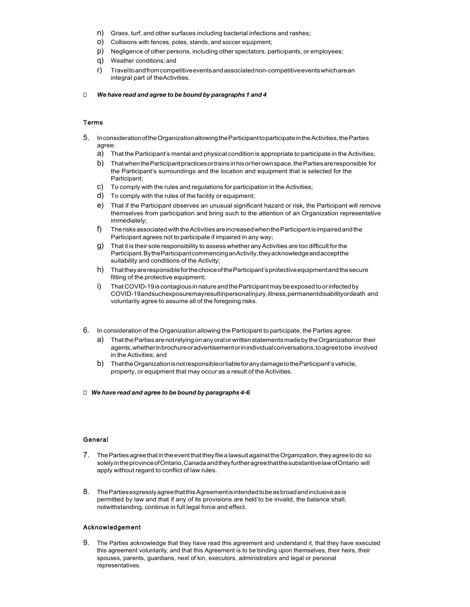- n) Grass, turf, and other surfaces including bacterial infections and rashes;
- o) Collisions with fences, poles, stands, and soccer equipment;
- p) Negligence of other persons, including other spectators, participants, or employees;
- q) Weather conditions; and
- r) Traveltoandfromcompetitiveeventsandassociatednon-competitiveeventswhicharean integral part of theActivities.
- ◻ *We have read and agree to be bound by paragraphs 1 and 4*

# Terms

- 5. InconsiderationoftheOrganizationallowingtheParticipanttoparticipateintheActivities,theParties agree:
	- a) That the Participant's mental and physical condition is appropriate to participate in the Activities;
	- b) ThatwhentheParticipantpracticesortrainsinhisorherownspace,thePartiesareresponsible for the Participant's surroundings and the location and equipment that is selected for the Participant;
	- c) To comply with the rules and regulations for participation in the Activities;
	- d) To comply with the rules of the facility or equipment;
	- e) That if the Participant observes an unusual significant hazard or risk, the Participant will remove themselves from participation and bring such to the attention of an Organization representative immediately;
	- f) TherisksassociatedwiththeActivitiesareincreasedwhentheParticipantisimpairedandthe Participant agrees not to participate if impaired in any way;
	- $g$ ) That it is their sole responsibility to assess whether any Activities are too difficult for the Participant.BytheParticipantcommencinganActivity,theyacknowledgeandacceptthe suitability and conditions of the Activity;
	- h) ThattheyareresponsibleforthechoiceoftheParticipant'sprotectiveequipmentandthesecure fitting of the protective equipment;
	- i) That COVID-19 is contagious in nature and the Participant may be exposed to or infected by COVID-19andsuchexposuremayresultinpersonalinjury,illness,permanentdisabilityordeath and voluntarily agree to assume all of the foregoing risks.
- 6. In consideration of the Organization allowing theParticipant to participate, the Parties agree:
	- a) ThatthePartiesarenotrelying onanyoralorwrittenstatementsmadeby theOrganizationor their agents, whether in brochure or advertisementor in individual conversations, to agree to be involved in the Activities; and
	- b) ThattheOrganizationisnotresponsibleorliableforanydamagetotheParticipant'svehicle, property, or equipment that may occur as a result of the Activities.
- ◻ *We have read and agree to be bound by paragraphs 4-6*

#### General

- 7. The Parties agree that in the event that they file a lawsuit against the Organization, they agree to do so solelyintheprovinceofOntario,CanadaandtheyfurtheragreethatthesubstantivelawofOntario will apply without regard to conflict of law rules.
- 8. ThePartiesexpresslyagreethatthisAgreementisintendedtobeasbroadandinclusiveasis permitted by law and that if any of its provisions are held to be invalid, the balance shall, notwithstanding, continue in full legal force and effect.

#### Acknowledgement

9. The Parties acknowledge that they have read this agreement and understand it, that they have executed this agreement voluntarily, and that this Agreement is to be binding upon themselves, their heirs, their spouses, parents, guardians, next of kin, executors, administrators and legal or personal representatives.